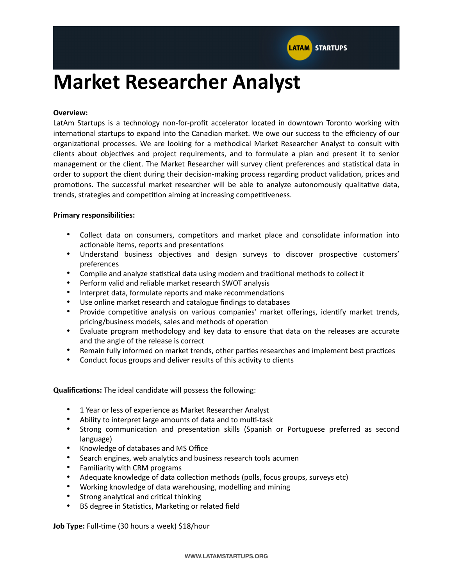

# **Market Researcher Analyst**

### **Overview:**

LatAm Startups is a technology non-for-profit accelerator located in downtown Toronto working with international startups to expand into the Canadian market. We owe our success to the efficiency of our organizational processes. We are looking for a methodical Market Researcher Analyst to consult with clients about objectives and project requirements, and to formulate a plan and present it to senior management or the client. The Market Researcher will survey client preferences and statistical data in order to support the client during their decision-making process regarding product validation, prices and promotions. The successful market researcher will be able to analyze autonomously qualitative data, trends, strategies and competition aiming at increasing competitiveness.

## **Primary responsibilities:**

- Collect data on consumers, competitors and market place and consolidate information into actionable items, reports and presentations
- Understand business objectives and design surveys to discover prospective customers' preferences
- Compile and analyze statistical data using modern and traditional methods to collect it
- Perform valid and reliable market research SWOT analysis
- Interpret data, formulate reports and make recommendations
- Use online market research and catalogue findings to databases
- Provide competitive analysis on various companies' market offerings, identify market trends, pricing/business models, sales and methods of operation
- Evaluate program methodology and key data to ensure that data on the releases are accurate and the angle of the release is correct
- Remain fully informed on market trends, other parties researches and implement best practices
- Conduct focus groups and deliver results of this activity to clients

**Qualifications:** The ideal candidate will possess the following:

- 1 Year or less of experience as Market Researcher Analyst
- Ability to interpret large amounts of data and to multi-task
- Strong communication and presentation skills (Spanish or Portuguese preferred as second language)
- Knowledge of databases and MS Office
- Search engines, web analytics and business research tools acumen
- Familiarity with CRM programs
- Adequate knowledge of data collection methods (polls, focus groups, surveys etc)
- Working knowledge of data warehousing, modelling and mining
- Strong analytical and critical thinking
- BS degree in Statistics, Marketing or related field

**Job Type:** Full-time (30 hours a week) \$18/hour